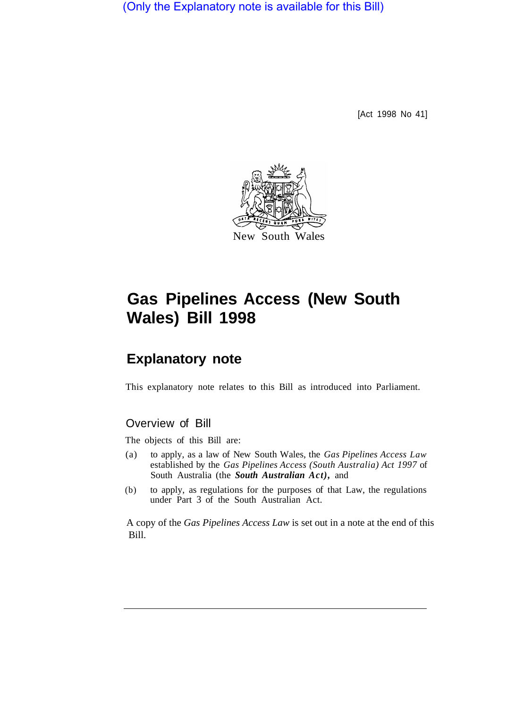(Only the Explanatory note is available for this Bill)

[Act 1998 No 41]



# **Gas Pipelines Access (New South Wales) Bill 1998**

# **Explanatory note**

This explanatory note relates to this Bill as introduced into Parliament.

### Overview of Bill

The objects of this Bill are:

- (a) to apply, as a law of New South Wales, the *Gas Pipelines Access Law*  established by the *Gas Pipelines Access (South Australia) Act 1997* of South Australia (the *South Australian Act),* and
- (b) to apply, as regulations for the purposes of that Law, the regulations under Part 3 of the South Australian Act.

A copy of the *Gas Pipelines Access Law* is set out in a note at the end of this Bill.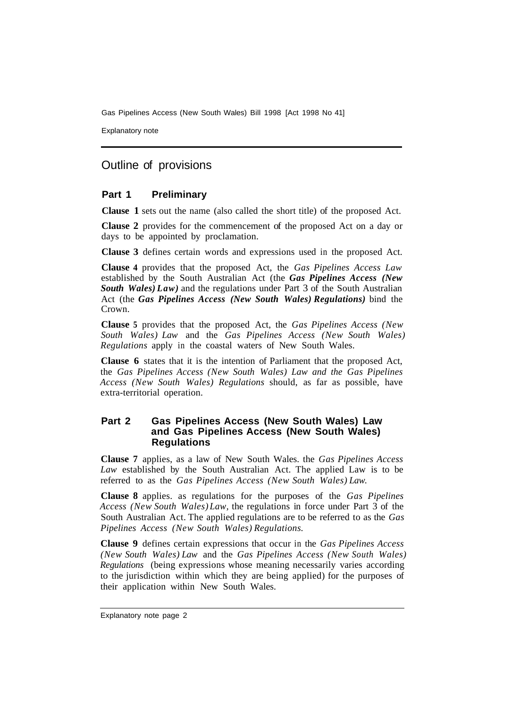Explanatory note

## Outline of provisions

#### **Part 1 Preliminary**

**Clause 1** sets out the name (also called the short title) of the proposed Act.

**Clause 2** provides for the commencement of the proposed Act on a day or days to be appointed by proclamation.

**Clause 3** defines certain words and expressions used in the proposed Act.

**Clause 4** provides that the proposed Act, the *Gas Pipelines Access Law*  established by the South Australian Act (the *Gas Pipelines Access (New South Wales) Law)* and the regulations under Part 3 of the South Australian Act (the *Gas Pipelines Access (New South Wales) Regulations)* bind the Crown.

**Clause 5** provides that the proposed Act, the *Gas Pipelines Access (New South Wales) Law* and the *Gas Pipelines Access (New South Wales) Regulations* apply in the coastal waters of New South Wales.

**Clause 6** states that it is the intention of Parliament that the proposed Act, the *Gas Pipelines Access (New South Wales) Law and the Gas Pipelines Access (New South Wales) Regulations* should, as far as possible, have extra-territorial operation.

#### **Part 2 Gas Pipelines Access (New South Wales) Law and Gas Pipelines Access (New South Wales) Regulations**

**Clause 7** applies, as a law of New South Wales. the *Gas Pipelines Access Law* established by the South Australian Act. The applied Law is to be referred to as the *Gas Pipelines Access (New South Wales) Law.* 

**Clause 8** applies. as regulations for the purposes of the *Gas Pipelines Access (New South Wales) Law,* the regulations in force under Part 3 of the South Australian Act. The applied regulations are to be referred to as the *Gas Pipelines Access (New South Wales) Regulations.* 

**Clause 9** defines certain expressions that occur in the *Gas Pipelines Access (New South Wales) Law* and the *Gas Pipelines Access (New South Wales) Regulations* (being expressions whose meaning necessarily varies according to the jurisdiction within which they are being applied) for the purposes of their application within New South Wales.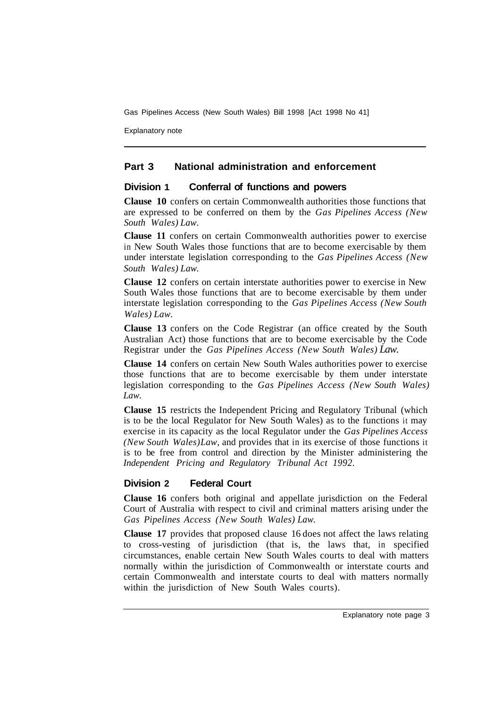Explanatory note

#### **Part 3 National administration and enforcement**

#### **Division 1 Conferral of functions and powers**

**Clause 10** confers on certain Commonwealth authorities those functions that are expressed to be conferred on them by the *Gas Pipelines Access (New South Wales) Law.* 

**Clause 11** confers on certain Commonwealth authorities power to exercise in New South Wales those functions that are to become exercisable by them under interstate legislation corresponding to the *Gas Pipelines Access (New South Wales) Law.* 

**Clause 12** confers on certain interstate authorities power to exercise in New South Wales those functions that are to become exercisable by them under interstate legislation corresponding to the *Gas Pipelines Access (New South Wales) Law.* 

**Clause 13** confers on the Code Registrar (an office created by the South Australian Act) those functions that are to become exercisable by the Code Registrar under the *Gas Pipelines Access (New South Wales) Law.* 

**Clause 14** confers on certain New South Wales authorities power to exercise those functions that are to become exercisable by them under interstate legislation corresponding to the *Gas Pipelines Access (New South Wales) Law.* 

**Clause 15** restricts the Independent Pricing and Regulatory Tribunal (which is to be the local Regulator for New South Wales) as to the functions it may exercise in its capacity as the local Regulator under the *Gas Pipelines Access (New South Wales) Law,* and provides that in its exercise of those functions it is to be free from control and direction by the Minister administering the *Independent Pricing and Regulatory Tribunal Act 1992.* 

#### **Division 2 Federal Court**

**Clause 16** confers both original and appellate jurisdiction on the Federal Court of Australia with respect to civil and criminal matters arising under the *Gas Pipelines Access (New South Wales) Law.* 

**Clause 17** provides that proposed clause 16 does not affect the laws relating to cross-vesting of jurisdiction (that is, the laws that, in specified circumstances, enable certain New South Wales courts to deal with matters normally within the jurisdiction of Commonwealth or interstate courts and certain Commonwealth and interstate courts to deal with matters normally within the jurisdiction of New South Wales courts).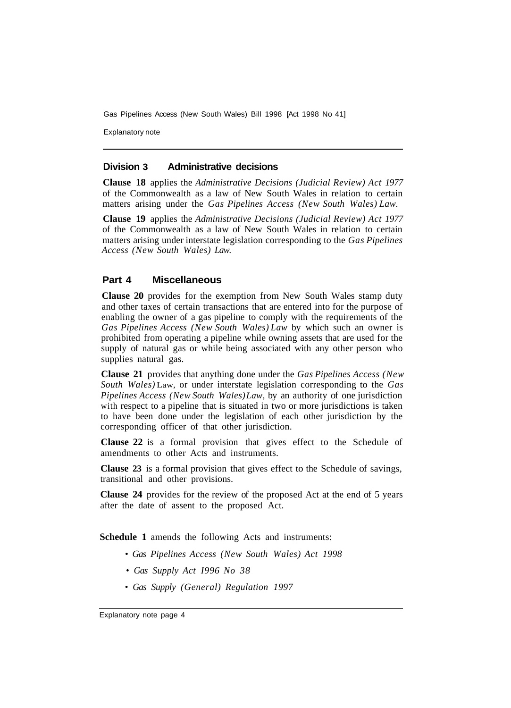Explanatory note

#### **Division 3 Administrative decisions**

**Clause 18** applies the *Administrative Decisions (Judicial Review) Act 1977*  of the Commonwealth as a law of New South Wales in relation to certain matters arising under the *Gas Pipelines Access (New South Wales) Law.* 

**Clause 19** applies the *Administrative Decisions (Judicial Review) Act 1977*  of the Commonwealth as a law of New South Wales in relation to certain matters arising under interstate legislation corresponding to the *Gas Pipelines Access (New South Wales) Law.* 

#### **Part 4 Miscellaneous**

**Clause 20** provides for the exemption from New South Wales stamp duty and other taxes of certain transactions that are entered into for the purpose of enabling the owner of a gas pipeline to comply with the requirements of the *Gas Pipelines Access (New South Wales) Law* by which such an owner is prohibited from operating a pipeline while owning assets that are used for the supply of natural gas or while being associated with any other person who supplies natural gas.

**Clause 21** provides that anything done under the *Gas Pipelines Access (New South Wales)* Law, or under interstate legislation corresponding to the *Gas Pipelines Access (New South Wales) Law,* by an authority of one jurisdiction with respect to a pipeline that is situated in two or more jurisdictions is taken to have been done under the legislation of each other jurisdiction by the corresponding officer of that other jurisdiction.

**Clause 22** is a formal provision that gives effect to the Schedule of amendments to other Acts and instruments.

**Clause 23** is a formal provision that gives effect to the Schedule of savings, transitional and other provisions.

**Clause 24** provides for the review of the proposed Act at the end of 5 years after the date of assent to the proposed Act.

**Schedule 1** amends the following Acts and instruments:

- *Gas Pipelines Access (New South Wales) Act 1998*
- *Gas Supply Act I996 No 38*
- *Gas Supply (General) Regulation 1997*